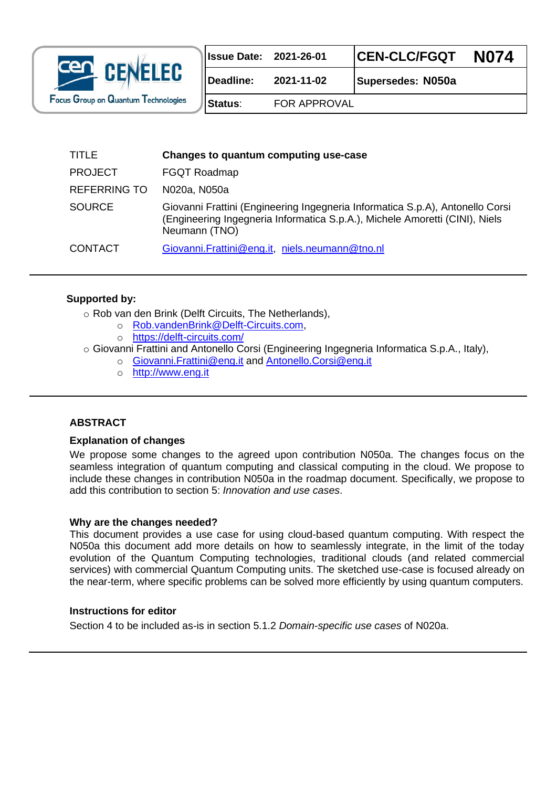

| <b>Issue Date: 2021-26-01</b> |            | CEN-CLC/FGQT      | <b>N074</b> |
|-------------------------------|------------|-------------------|-------------|
| Deadline:                     | 2021-11-02 | Supersedes: N050a |             |

**Status**: FOR APPROVAL

| TITLE               | Changes to quantum computing use-case                                                                                                                                         |
|---------------------|-------------------------------------------------------------------------------------------------------------------------------------------------------------------------------|
| <b>PROJECT</b>      | <b>FGQT Roadmap</b>                                                                                                                                                           |
| <b>REFERRING TO</b> | N020a, N050a                                                                                                                                                                  |
| <b>SOURCE</b>       | Giovanni Frattini (Engineering Ingegneria Informatica S.p.A), Antonello Corsi<br>(Engineering Ingegneria Informatica S.p.A.), Michele Amoretti (CINI), Niels<br>Neumann (TNO) |
| <b>CONTACT</b>      | Giovanni. Frattini@eng.it, niels.neumann@tno.nl                                                                                                                               |

### **Supported by:**

o Rob van den Brink (Delft Circuits, The Netherlands),

- o [Rob.vandenBrink@Delft-Circuits.com,](mailto:Rob.vandenBrink@Delft-Circuits.com)
- o <https://delft-circuits.com/>

o Giovanni Frattini and Antonello Corsi (Engineering Ingegneria Informatica S.p.A., Italy),

- o [Giovanni.Frattini@eng.it](mailto:Giovanni.Frattini@eng.it) and [Antonello.Corsi@eng.it](mailto:Antonello.Corsi@eng.it)
- o [http://www.eng.it](http://quantware.eu/)

### **ABSTRACT**

#### **Explanation of changes**

We propose some changes to the agreed upon contribution N050a. The changes focus on the seamless integration of quantum computing and classical computing in the cloud. We propose to include these changes in contribution N050a in the roadmap document. Specifically, we propose to add this contribution to section 5: *Innovation and use cases*.

#### **Why are the changes needed?**

This document provides a use case for using cloud-based quantum computing. With respect the N050a this document add more details on how to seamlessly integrate, in the limit of the today evolution of the Quantum Computing technologies, traditional clouds (and related commercial services) with commercial Quantum Computing units. The sketched use-case is focused already on the near-term, where specific problems can be solved more efficiently by using quantum computers.

### **Instructions for editor**

Section 4 to be included as-is in section 5.1.2 *Domain-specific use cases* of N020a.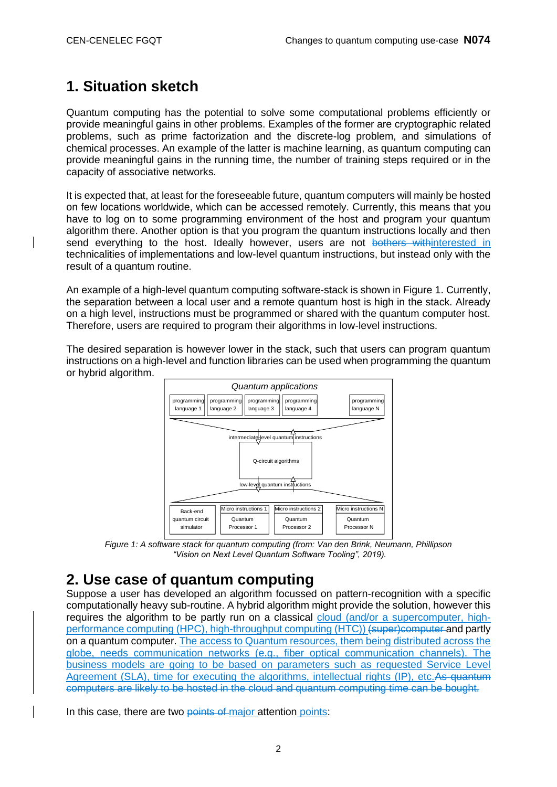# **1. Situation sketch**

Quantum computing has the potential to solve some computational problems efficiently or provide meaningful gains in other problems. Examples of the former are cryptographic related problems, such as prime factorization and the discrete-log problem, and simulations of chemical processes. An example of the latter is machine learning, as quantum computing can provide meaningful gains in the running time, the number of training steps required or in the capacity of associative networks.

It is expected that, at least for the foreseeable future, quantum computers will mainly be hosted on few locations worldwide, which can be accessed remotely. Currently, this means that you have to log on to some programming environment of the host and program your quantum algorithm there. Another option is that you program the quantum instructions locally and then send everything to the host. Ideally however, users are not bothers withinterested in technicalities of implementations and low-level quantum instructions, but instead only with the result of a quantum routine.

An example of a high-level quantum computing software-stack is shown in Figure 1. Currently, the separation between a local user and a remote quantum host is high in the stack. Already on a high level, instructions must be programmed or shared with the quantum computer host. Therefore, users are required to program their algorithms in low-level instructions.

The desired separation is however lower in the stack, such that users can program quantum instructions on a high-level and function libraries can be used when programming the quantum or hybrid algorithm.



*Figure 1: A software stack for quantum computing (from: Van den Brink, Neumann, Phillipson "Vision on Next Level Quantum Software Tooling", 2019).*

### **2. Use case of quantum computing**

Suppose a user has developed an algorithm focussed on pattern-recognition with a specific computationally heavy sub-routine. A hybrid algorithm might provide the solution, however this requires the algorithm to be partly run on a classical cloud (and/or a supercomputer, highperformance computing (HPC), high-throughput computing (HTC)) (super)computer and partly on a quantum computer. The access to Quantum resources, them being distributed across the globe, needs communication networks (e.g., fiber optical communication channels). The business models are going to be based on parameters such as requested Service Level Agreement (SLA), time for executing the algorithms, intellectual rights (IP), etc.As quantum computers are likely to be hosted in the cloud and quantum computing time can be bought.

In this case, there are two points of major attention points: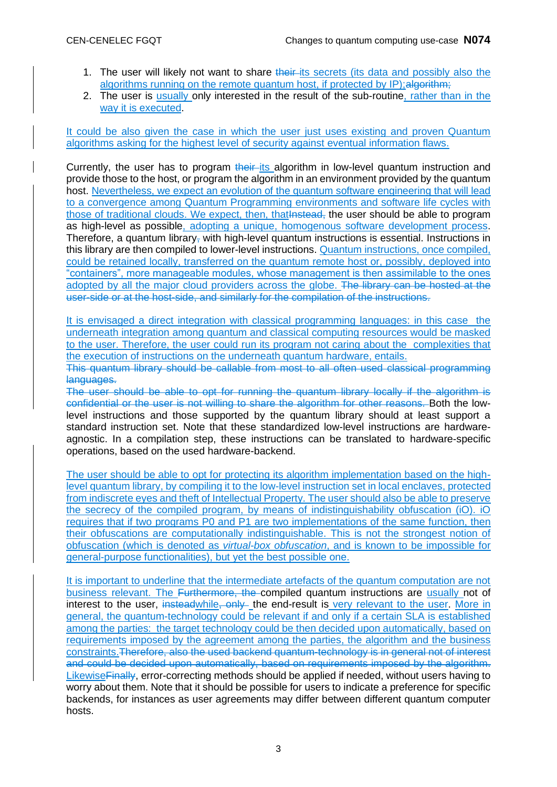- 1. The user will likely not want to share their-its secrets (its data and possibly also the algorithms running on the remote quantum host, if protected by IP); algorithm;
- 2. The user is usually only interested in the result of the sub-routine, rather than in the way it is executed.

It could be also given the case in which the user just uses existing and proven Quantum algorithms asking for the highest level of security against eventual information flaws.

Currently, the user has to program their its algorithm in low-level quantum instruction and provide those to the host, or program the algorithm in an environment provided by the quantum host. Nevertheless, we expect an evolution of the quantum software engineering that will lead to a convergence among Quantum Programming environments and software life cycles with those of traditional clouds. We expect, then, that instead, the user should be able to program as high-level as possible, adopting a unique, homogenous software development process. Therefore, a quantum library, with high-level quantum instructions is essential. Instructions in this library are then compiled to lower-level instructions. Quantum instructions, once compiled, could be retained locally, transferred on the quantum remote host or, possibly, deployed into "containers", more manageable modules, whose management is then assimilable to the ones adopted by all the major cloud providers across the globe. The library can be hosted at the user-side or at the host-side, and similarly for the compilation of the instructions.

It is envisaged a direct integration with classical programming languages: in this case the underneath integration among quantum and classical computing resources would be masked to the user. Therefore, the user could run its program not caring about the complexities that the execution of instructions on the underneath quantum hardware, entails.

This quantum library should be callable from most to all often used classical programming languages.

The user should be able to opt for running the quantum library locally if the algorithm is confidential or the user is not willing to share the algorithm for other reasons. Both the lowlevel instructions and those supported by the quantum library should at least support a standard instruction set. Note that these standardized low-level instructions are hardwareagnostic. In a compilation step, these instructions can be translated to hardware-specific operations, based on the used hardware-backend.

The user should be able to opt for protecting its algorithm implementation based on the highlevel quantum library, by compiling it to the low-level instruction set in local enclaves, protected from indiscrete eyes and theft of Intellectual Property. The user should also be able to preserve the secrecy of the compiled program, by means of indistinguishability obfuscation (iO). iO requires that if two programs P0 and P1 are two implementations of the same function, then their obfuscations are computationally indistinguishable. This is not the strongest notion of obfuscation (which is denoted as *virtual-box obfuscation*, and is known to be impossible for general-purpose functionalities), but yet the best possible one.

It is important to underline that the intermediate artefacts of the quantum computation are not business relevant. The Furthermore, the compiled quantum instructions are usually not of interest to the user, insteadwhile, only the end-result is very relevant to the user. More in general, the quantum-technology could be relevant if and only if a certain SLA is established among the parties: the target technology could be then decided upon automatically, based on requirements imposed by the agreement among the parties, the algorithm and the business constraints.Therefore, also the used backend quantum-technology is in general not of interest and could be decided upon automatically, based on requirements imposed by the algorithm. Likewise Finally, error-correcting methods should be applied if needed, without users having to worry about them. Note that it should be possible for users to indicate a preference for specific backends, for instances as user agreements may differ between different quantum computer hosts.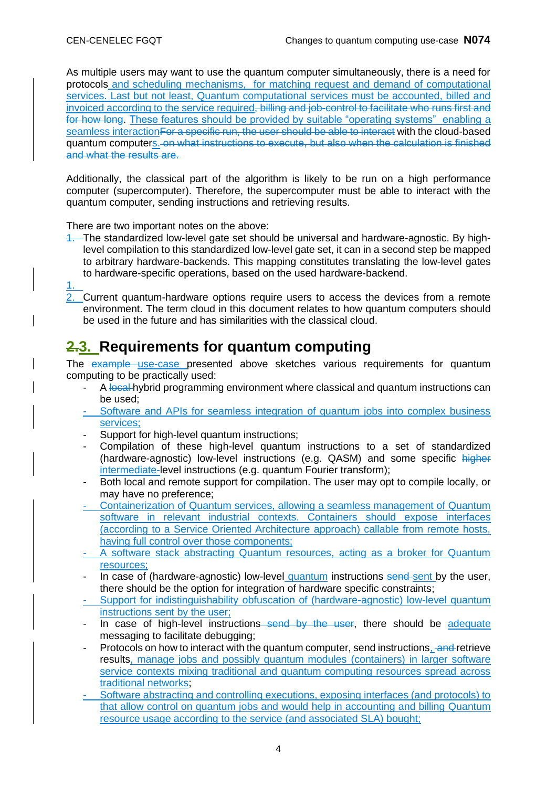As multiple users may want to use the quantum computer simultaneously, there is a need for protocols and scheduling mechanisms, for matching request and demand of computational services. Last but not least, Quantum computational services must be accounted, billed and invoiced according to the service required, billing and job-control to facilitate who runs first and for how long. These features should be provided by suitable "operating systems" enabling a seamless interaction For a specific run, the user should be able to interact with the cloud-based quantum computers. on what instructions to execute, but also when the calculation is finished and what the results are.

Additionally, the classical part of the algorithm is likely to be run on a high performance computer (supercomputer). Therefore, the supercomputer must be able to interact with the quantum computer, sending instructions and retrieving results.

There are two important notes on the above:

- 1. The standardized low-level gate set should be universal and hardware-agnostic. By highlevel compilation to this standardized low-level gate set, it can in a second step be mapped to arbitrary hardware-backends. This mapping constitutes translating the low-level gates to hardware-specific operations, based on the used hardware-backend.
- 1.

2. Current quantum-hardware options require users to access the devices from a remote environment. The term cloud in this document relates to how quantum computers should be used in the future and has similarities with the classical cloud.

## **2.3. Requirements for quantum computing**

The example use-case presented above sketches various requirements for quantum computing to be practically used:

- A local hybrid programming environment where classical and quantum instructions can be used;
- Software and APIs for seamless integration of quantum jobs into complex business services;
- Support for high-level quantum instructions;
- Compilation of these high-level quantum instructions to a set of standardized (hardware-agnostic) low-level instructions (e.g. QASM) and some specific higher intermediate-level instructions (e.g. quantum Fourier transform);
- Both local and remote support for compilation. The user may opt to compile locally, or may have no preference;
- Containerization of Quantum services, allowing a seamless management of Quantum software in relevant industrial contexts. Containers should expose interfaces (according to a Service Oriented Architecture approach) callable from remote hosts, having full control over those components;
- A software stack abstracting Quantum resources, acting as a broker for Quantum resources;
- In case of (hardware-agnostic) low-level quantum instructions send-sent by the user, there should be the option for integration of hardware specific constraints;
- Support for indistinguishability obfuscation of (hardware-agnostic) low-level quantum instructions sent by the user;
- In case of high-level instructions send by the user, there should be adequate messaging to facilitate debugging;
- Protocols on how to interact with the quantum computer, send instructions, and retrieve results, manage jobs and possibly quantum modules (containers) in larger software service contexts mixing traditional and quantum computing resources spread across traditional networks;
- Software abstracting and controlling executions, exposing interfaces (and protocols) to that allow control on quantum jobs and would help in accounting and billing Quantum resource usage according to the service (and associated SLA) bought;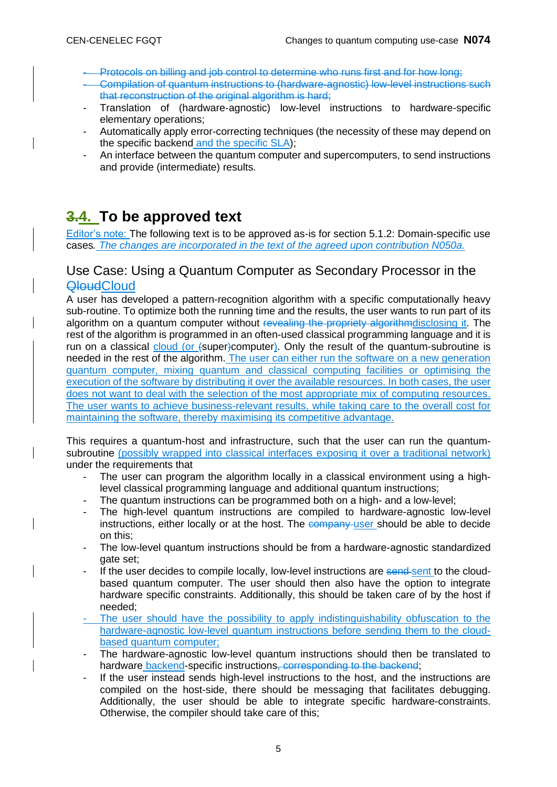- Protocols on billing and job control to determine who runs first and for how long;
- Compilation of quantum instructions to (hardware-agnostic) low-level instructions such that reconstruction of the original algorithm is hard;
- Translation of (hardware-agnostic) low-level instructions to hardware-specific elementary operations;
- Automatically apply error-correcting techniques (the necessity of these may depend on the specific backend and the specific SLA);
- An interface between the quantum computer and supercomputers, to send instructions and provide (intermediate) results.

# **3.4. To be approved text**

Editor's note: The following text is to be approved as-is for section 5.1.2: Domain-specific use cases*. The changes are incorporated in the text of the agreed upon contribution N050a.*

### Use Case: Using a Quantum Computer as Secondary Processor in the **QloudCloud**

A user has developed a pattern-recognition algorithm with a specific computationally heavy sub-routine. To optimize both the running time and the results, the user wants to run part of its algorithm on a quantum computer without revealing the propriety algorithm disclosing it. The rest of the algorithm is programmed in an often-used classical programming language and it is run on a classical cloud (or (super)computer). Only the result of the quantum-subroutine is needed in the rest of the algorithm. The user can either run the software on a new generation quantum computer, mixing quantum and classical computing facilities or optimising the execution of the software by distributing it over the available resources. In both cases, the user does not want to deal with the selection of the most appropriate mix of computing resources. The user wants to achieve business-relevant results, while taking care to the overall cost for maintaining the software, thereby maximising its competitive advantage.

This requires a quantum-host and infrastructure, such that the user can run the quantumsubroutine (possibly wrapped into classical interfaces exposing it over a traditional network) under the requirements that

- The user can program the algorithm locally in a classical environment using a highlevel classical programming language and additional quantum instructions;
- The quantum instructions can be programmed both on a high- and a low-level;
- The high-level quantum instructions are compiled to hardware-agnostic low-level instructions, either locally or at the host. The company user should be able to decide on this;
- The low-level quantum instructions should be from a hardware-agnostic standardized gate set;
- If the user decides to compile locally, low-level instructions are send-sent to the cloudbased quantum computer. The user should then also have the option to integrate hardware specific constraints. Additionally, this should be taken care of by the host if needed;
- The user should have the possibility to apply indistinguishability obfuscation to the hardware-agnostic low-level quantum instructions before sending them to the cloudbased quantum computer;
- The hardware-agnostic low-level quantum instructions should then be translated to hardware backend-specific instructions, corresponding to the backend;
- If the user instead sends high-level instructions to the host, and the instructions are compiled on the host-side, there should be messaging that facilitates debugging. Additionally, the user should be able to integrate specific hardware-constraints. Otherwise, the compiler should take care of this;